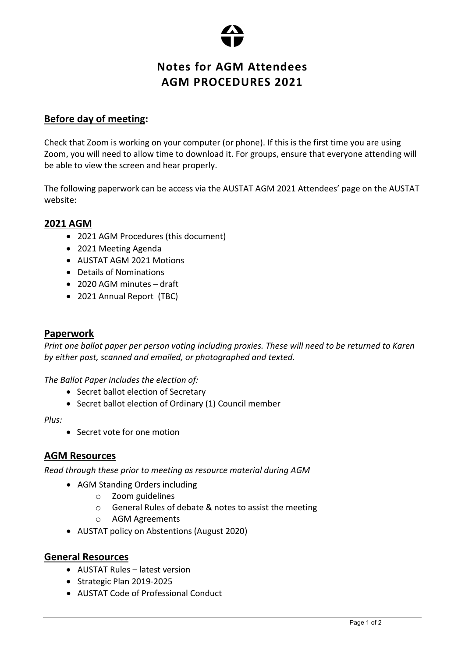

# Notes for AGM Attendees AGM PROCEDURES 2021

# Before day of meeting:

Check that Zoom is working on your computer (or phone). If this is the first time you are using Zoom, you will need to allow time to download it. For groups, ensure that everyone attending will be able to view the screen and hear properly.

The following paperwork can be access via the AUSTAT AGM 2021 Attendees' page on the AUSTAT website:

# 2021 AGM

- 2021 AGM Procedures (this document)
- 2021 Meeting Agenda
- AUSTAT AGM 2021 Motions
- Details of Nominations
- 2020 AGM minutes draft
- 2021 Annual Report (TBC)

## Paperwork

Print one ballot paper per person voting including proxies. These will need to be returned to Karen by either post, scanned and emailed, or photographed and texted.

#### The Ballot Paper includes the election of:

- Secret ballot election of Secretary
- Secret ballot election of Ordinary (1) Council member

#### Plus:

Secret vote for one motion

### AGM Resources

Read through these prior to meeting as resource material during AGM

- AGM Standing Orders including
	- o Zoom guidelines
	- o General Rules of debate & notes to assist the meeting
	- o AGM Agreements
- AUSTAT policy on Abstentions (August 2020)

### General Resources

- AUSTAT Rules latest version
- Strategic Plan 2019-2025
- AUSTAT Code of Professional Conduct